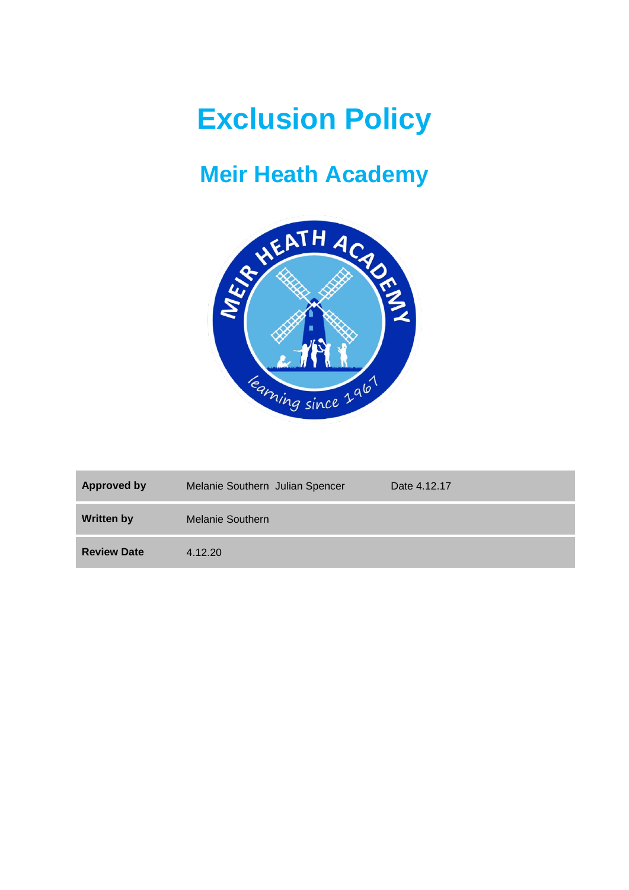# **Exclusion Policy**

# **Meir Heath Academy**



| <b>Approved by</b> | Melanie Southern Julian Spencer | Date 4.12.17 |
|--------------------|---------------------------------|--------------|
| <b>Written by</b>  | Melanie Southern                |              |
| <b>Review Date</b> | 4.12.20                         |              |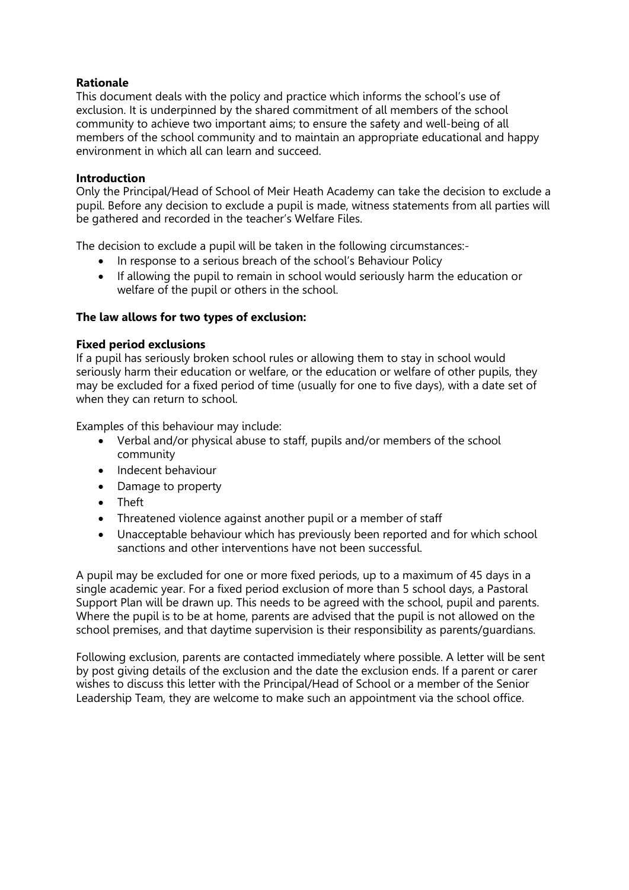# **Rationale**

This document deals with the policy and practice which informs the school's use of exclusion. It is underpinned by the shared commitment of all members of the school community to achieve two important aims; to ensure the safety and well-being of all members of the school community and to maintain an appropriate educational and happy environment in which all can learn and succeed.

#### **Introduction**

Only the Principal/Head of School of Meir Heath Academy can take the decision to exclude a pupil. Before any decision to exclude a pupil is made, witness statements from all parties will be gathered and recorded in the teacher's Welfare Files.

The decision to exclude a pupil will be taken in the following circumstances:-

- In response to a serious breach of the school's Behaviour Policy
- If allowing the pupil to remain in school would seriously harm the education or welfare of the pupil or others in the school.

#### **The law allows for two types of exclusion:**

#### **Fixed period exclusions**

If a pupil has seriously broken school rules or allowing them to stay in school would seriously harm their education or welfare, or the education or welfare of other pupils, they may be excluded for a fixed period of time (usually for one to five days), with a date set of when they can return to school.

Examples of this behaviour may include:

- Verbal and/or physical abuse to staff, pupils and/or members of the school community
- Indecent behaviour
- Damage to property
- Theft
- Threatened violence against another pupil or a member of staff
- Unacceptable behaviour which has previously been reported and for which school sanctions and other interventions have not been successful.

A pupil may be excluded for one or more fixed periods, up to a maximum of 45 days in a single academic year. For a fixed period exclusion of more than 5 school days, a Pastoral Support Plan will be drawn up. This needs to be agreed with the school, pupil and parents. Where the pupil is to be at home, parents are advised that the pupil is not allowed on the school premises, and that daytime supervision is their responsibility as parents/guardians.

Following exclusion, parents are contacted immediately where possible. A letter will be sent by post giving details of the exclusion and the date the exclusion ends. If a parent or carer wishes to discuss this letter with the Principal/Head of School or a member of the Senior Leadership Team, they are welcome to make such an appointment via the school office.